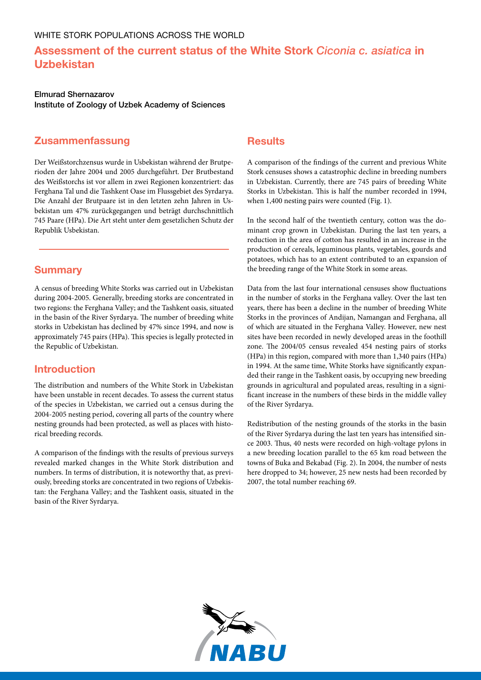# **Assessment of the current status of the White Stork** *Ciconia c. asiatica* **in Uzbekistan**

Elmurad Shernazarov Institute of Zoology of Uzbek Academy of Sciences

#### **Zusammenfassung**

Der Weißstorchzensus wurde in Usbekistan während der Brutperioden der Jahre 2004 und 2005 durchgeführt. Der Brutbestand des Weißstorchs ist vor allem in zwei Regionen konzentriert: das Ferghana Tal und die Tashkent Oase im Flussgebiet des Syrdarya. Die Anzahl der Brutpaare ist in den letzten zehn Jahren in Usbekistan um 47% zurückgegangen und beträgt durchschnittlich 745 Paare (HPa). Die Art steht unter dem gesetzlichen Schutz der Republik Usbekistan.

#### **Summary**

A census of breeding White Storks was carried out in Uzbekistan during 2004-2005. Generally, breeding storks are concentrated in two regions: the Ferghana Valley; and the Tashkent oasis, situated in the basin of the River Syrdarya. The number of breeding white storks in Uzbekistan has declined by 47% since 1994, and now is approximately 745 pairs (HPa). This species is legally protected in the Republic of Uzbekistan.

### **Introduction**

The distribution and numbers of the White Stork in Uzbekistan have been unstable in recent decades. To assess the current status of the species in Uzbekistan, we carried out a census during the 2004-2005 nesting period, covering all parts of the country where nesting grounds had been protected, as well as places with historical breeding records.

A comparison of the findings with the results of previous surveys revealed marked changes in the White Stork distribution and numbers. In terms of distribution, it is noteworthy that, as previously, breeding storks are concentrated in two regions of Uzbekistan: the Ferghana Valley; and the Tashkent oasis, situated in the basin of the River Syrdarya.

#### **Results**

A comparison of the findings of the current and previous White Stork censuses shows a catastrophic decline in breeding numbers in Uzbekistan. Currently, there are 745 pairs of breeding White Storks in Uzbekistan. This is half the number recorded in 1994, when 1,400 nesting pairs were counted (Fig. 1).

In the second half of the twentieth century, cotton was the dominant crop grown in Uzbekistan. During the last ten years, a reduction in the area of cotton has resulted in an increase in the production of cereals, leguminous plants, vegetables, gourds and potatoes, which has to an extent contributed to an expansion of the breeding range of the White Stork in some areas.

Data from the last four international censuses show fluctuations in the number of storks in the Ferghana valley. Over the last ten years, there has been a decline in the number of breeding White Storks in the provinces of Andijan, Namangan and Ferghana, all of which are situated in the Ferghana Valley. However, new nest sites have been recorded in newly developed areas in the foothill zone. The 2004/05 census revealed 454 nesting pairs of storks (HPa) in this region, compared with more than 1,340 pairs (HPa) in 1994. At the same time, White Storks have significantly expanded their range in the Tashkent oasis, by occupying new breeding grounds in agricultural and populated areas, resulting in a significant increase in the numbers of these birds in the middle valley of the River Syrdarya.

Redistribution of the nesting grounds of the storks in the basin of the River Syrdarya during the last ten years has intensified since 2003. Thus, 40 nests were recorded on high-voltage pylons in a new breeding location parallel to the 65 km road between the towns of Buka and Bekabad (Fig. 2). In 2004, the number of nests here dropped to 34; however, 25 new nests had been recorded by 2007, the total number reaching 69.

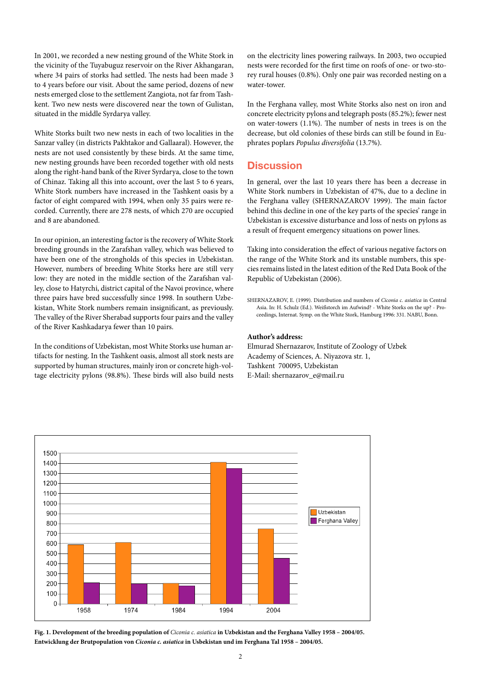In 2001, we recorded a new nesting ground of the White Stork in the vicinity of the Tuyabuguz reservoir on the River Akhangaran, where 34 pairs of storks had settled. The nests had been made 3 to 4 years before our visit. About the same period, dozens of new nests emerged close to the settlement Zangiota, not far from Tashkent. Two new nests were discovered near the town of Gulistan, situated in the middle Syrdarya valley.

White Storks built two new nests in each of two localities in the Sanzar valley (in districts Pakhtakor and Gallaaral). However, the nests are not used consistently by these birds. At the same time, new nesting grounds have been recorded together with old nests along the right-hand bank of the River Syrdarya, close to the town of Chinaz. Taking all this into account, over the last 5 to 6 years, White Stork numbers have increased in the Tashkent oasis by a factor of eight compared with 1994, when only 35 pairs were recorded. Currently, there are 278 nests, of which 270 are occupied and 8 are abandoned.

In our opinion, an interesting factor is the recovery of White Stork breeding grounds in the Zarafshan valley, which was believed to have been one of the strongholds of this species in Uzbekistan. However, numbers of breeding White Storks here are still very low: they are noted in the middle section of the Zarafshan valley, close to Hatyrchi, district capital of the Navoi province, where three pairs have bred successfully since 1998. In southern Uzbekistan, White Stork numbers remain insignificant, as previously. The valley of the River Sherabad supports four pairs and the valley of the River Kashkadarya fewer than 10 pairs.

In the conditions of Uzbekistan, most White Storks use human artifacts for nesting. In the Tashkent oasis, almost all stork nests are supported by human structures, mainly iron or concrete high-voltage electricity pylons (98.8%). These birds will also build nests on the electricity lines powering railways. In 2003, two occupied nests were recorded for the first time on roofs of one- or two-storey rural houses (0.8%). Only one pair was recorded nesting on a water-tower.

In the Ferghana valley, most White Storks also nest on iron and concrete electricity pylons and telegraph posts (85.2%); fewer nest on water-towers (1.1%). The number of nests in trees is on the decrease, but old colonies of these birds can still be found in Euphrates poplars *Populus diversifolia* (13.7%).

#### **Discussion**

In general, over the last 10 years there has been a decrease in White Stork numbers in Uzbekistan of 47%, due to a decline in the Ferghana valley (SHERNAZAROV 1999). The main factor behind this decline in one of the key parts of the species' range in Uzbekistan is excessive disturbance and loss of nests on pylons as a result of frequent emergency situations on power lines.

Taking into consideration the effect of various negative factors on the range of the White Stork and its unstable numbers, this species remains listed in the latest edition of the Red Data Book of the Republic of Uzbekistan (2006).

SHERNAZAROV, E. (1999). Distribution and numbers of *Ciconia c. asiatica* in Central Asia. In: H. Schulz (Ed.). Weißstorch im Aufwind? - White Storks on the up? - Proceedings, Internat. Symp. on the White Stork, Hamburg 1996: 331. NABU, Bonn.

#### **Author's address:**

Elmurad Shernazarov, Institute of Zoology of Uzbek Academy of Sciences, A. Niyazova str. 1, Tashkent 700095, Uzbekistan E-Mail: shernazarov\_e@mail.ru



**Fig. 1. Development of the breeding population of** *Ciconia c. asiatica* **in Uzbekistan and the Ferghana Valley 1958 – 2004/05. Entwicklung der Brutpopulation von** *Ciconia c. asiatica* **in Usbekistan und im Ferghana Tal 1958 – 2004/05.**